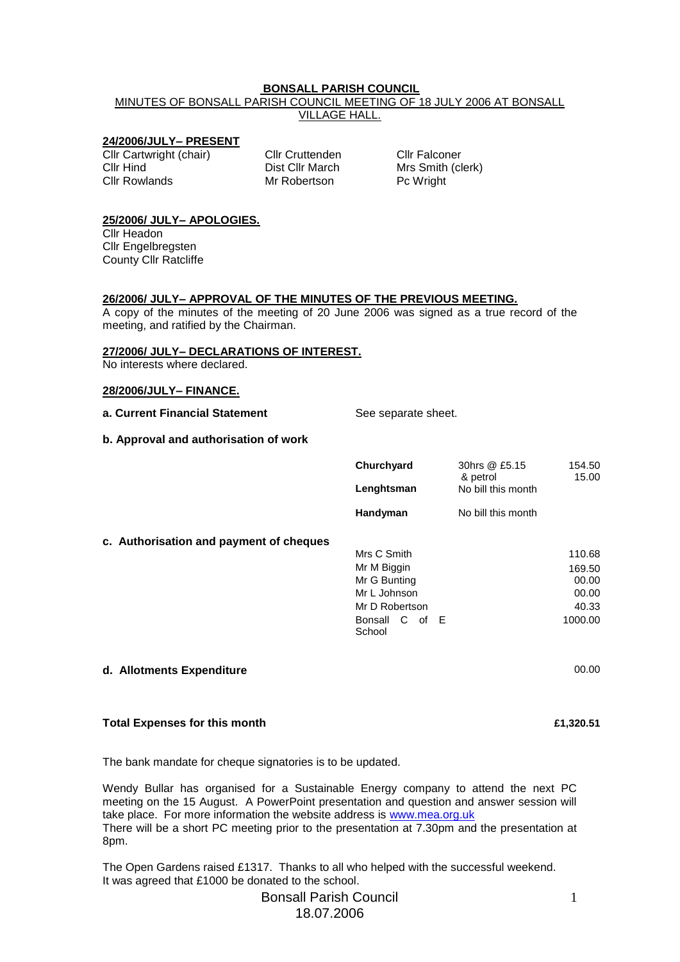#### **BONSALL PARISH COUNCIL**

MINUTES OF BONSALL PARISH COUNCIL MEETING OF 18 JULY 2006 AT BONSALL VILLAGE HALL.

# **24/2006/JULY– PRESENT**

Cllr Cartwright (chair) Cllr Cruttenden Cllr Falconer Cllr Hind Cllr March Dist Cllr March Mrs Smith (clerk)<br>
Cllr Rowlands Mr Robertson Pc Wright

Mr Robertson

# **25/2006/ JULY– APOLOGIES.** Cllr Headon

Cllr Engelbregsten County Cllr Ratcliffe

#### **26/2006/ JULY– APPROVAL OF THE MINUTES OF THE PREVIOUS MEETING.**

A copy of the minutes of the meeting of 20 June 2006 was signed as a true record of the meeting, and ratified by the Chairman.

# **27/2006/ JULY– DECLARATIONS OF INTEREST.**

No interests where declared.

#### **28/2006/JULY– FINANCE.**

**c.** Authorisation and

**a. Current Financial Statement** See separate sheet.

#### **b. Approval and authorisation of work**

|                    | Churchyard     | 30hrs @ £5.15<br>& petrol | 154.50<br>15.00 |
|--------------------|----------------|---------------------------|-----------------|
|                    | Lenghtsman     | No bill this month        |                 |
|                    | Handyman       | No bill this month        |                 |
| payment of cheques |                |                           |                 |
|                    | Mrs C Smith    |                           | 110.68          |
|                    | Mr M Biggin    |                           | 169.50          |
|                    | Mr G Bunting   |                           | 00.00           |
|                    | Mr L Johnson   |                           | 00.00           |
|                    | Mr D Robertson |                           | 40.33           |
|                    | Bonsall C of E |                           | 1000.00         |
|                    | School         |                           |                 |
|                    |                |                           |                 |
|                    |                |                           |                 |

### **d. Allotments Expenditure** 00.00

#### **Total Expenses for this month £1,320.51**

The bank mandate for cheque signatories is to be updated.

Wendy Bullar has organised for a Sustainable Energy company to attend the next PC meeting on the 15 August. A PowerPoint presentation and question and answer session will take place. For more information the website address is [www.mea.org.uk](http://www.mea.org.uk/) There will be a short PC meeting prior to the presentation at 7.30pm and the presentation at 8pm.

The Open Gardens raised £1317. Thanks to all who helped with the successful weekend. It was agreed that £1000 be donated to the school.

# Bonsall Parish Council 18.07.2006

1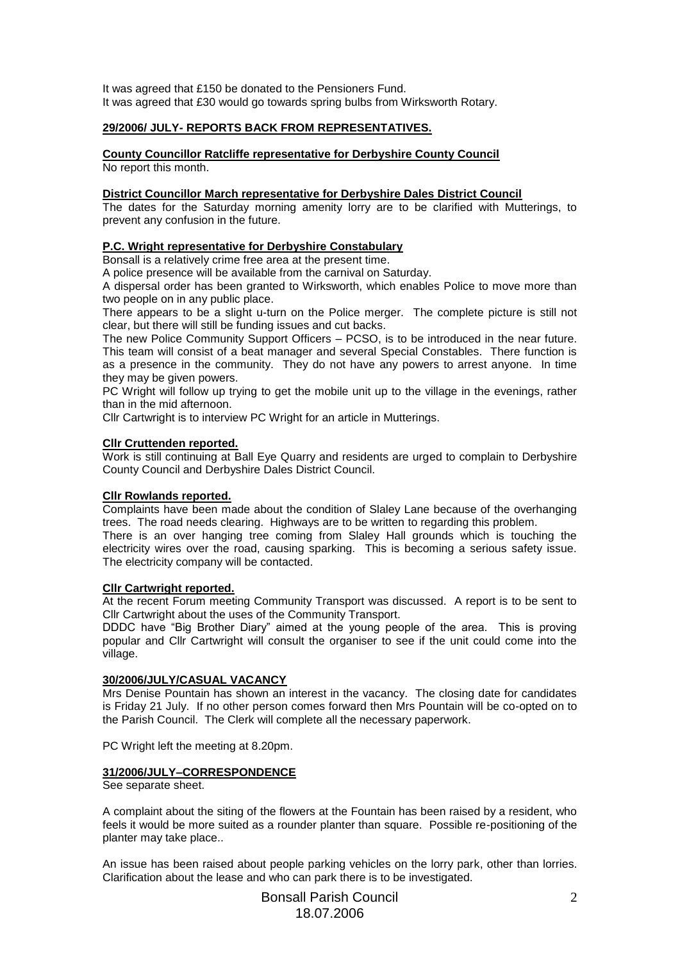It was agreed that £150 be donated to the Pensioners Fund. It was agreed that £30 would go towards spring bulbs from Wirksworth Rotary.

### **29/2006/ JULY- REPORTS BACK FROM REPRESENTATIVES.**

**County Councillor Ratcliffe representative for Derbyshire County Council**

No report this month.

#### **District Councillor March representative for Derbyshire Dales District Council**

The dates for the Saturday morning amenity lorry are to be clarified with Mutterings, to prevent any confusion in the future.

## **P.C. Wright representative for Derbyshire Constabulary**

Bonsall is a relatively crime free area at the present time.

A police presence will be available from the carnival on Saturday.

A dispersal order has been granted to Wirksworth, which enables Police to move more than two people on in any public place.

There appears to be a slight u-turn on the Police merger. The complete picture is still not clear, but there will still be funding issues and cut backs.

The new Police Community Support Officers – PCSO, is to be introduced in the near future. This team will consist of a beat manager and several Special Constables. There function is as a presence in the community. They do not have any powers to arrest anyone. In time they may be given powers.

PC Wright will follow up trying to get the mobile unit up to the village in the evenings, rather than in the mid afternoon.

Cllr Cartwright is to interview PC Wright for an article in Mutterings.

#### **Cllr Cruttenden reported.**

Work is still continuing at Ball Eye Quarry and residents are urged to complain to Derbyshire County Council and Derbyshire Dales District Council.

#### **Cllr Rowlands reported.**

Complaints have been made about the condition of Slaley Lane because of the overhanging trees. The road needs clearing. Highways are to be written to regarding this problem.

There is an over hanging tree coming from Slaley Hall grounds which is touching the electricity wires over the road, causing sparking. This is becoming a serious safety issue. The electricity company will be contacted.

### **Cllr Cartwright reported.**

At the recent Forum meeting Community Transport was discussed. A report is to be sent to Cllr Cartwright about the uses of the Community Transport.

DDDC have "Big Brother Diary" aimed at the young people of the area. This is proving popular and Cllr Cartwright will consult the organiser to see if the unit could come into the village.

#### **30/2006/JULY/CASUAL VACANCY**

Mrs Denise Pountain has shown an interest in the vacancy. The closing date for candidates is Friday 21 July. If no other person comes forward then Mrs Pountain will be co-opted on to the Parish Council. The Clerk will complete all the necessary paperwork.

PC Wright left the meeting at 8.20pm.

## **31/2006/JULY–CORRESPONDENCE**

See separate sheet.

A complaint about the siting of the flowers at the Fountain has been raised by a resident, who feels it would be more suited as a rounder planter than square. Possible re-positioning of the planter may take place..

An issue has been raised about people parking vehicles on the lorry park, other than lorries. Clarification about the lease and who can park there is to be investigated.

> Bonsall Parish Council 18.07.2006